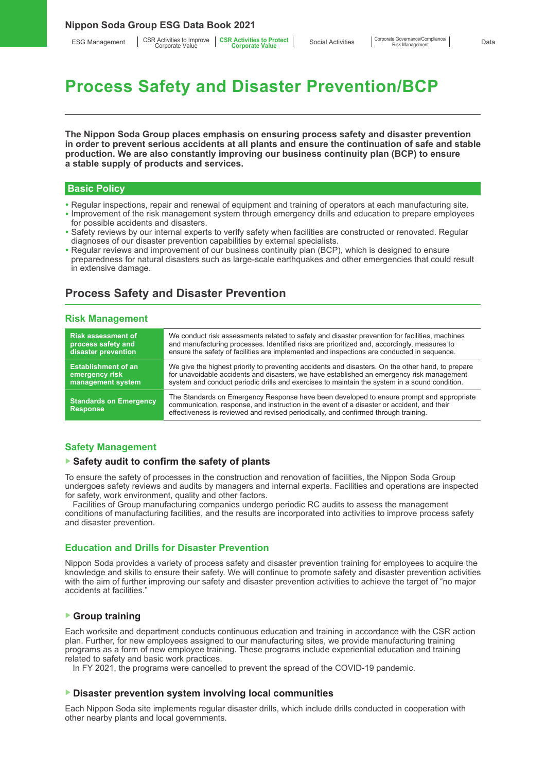**The Nippon Soda Group places emphasis on ensuring process safety and disaster prevention in order to prevent serious accidents at all plants and ensure the continuation of safe and stable production. We are also constantly improving our business continuity plan (BCP) to ensure a stable supply of products and services.**

#### **Basic Policy**

- Regular inspections, repair and renewal of equipment and training of operators at each manufacturing site.
- Improvement of the risk management system through emergency drills and education to prepare employees for possible accidents and disasters.
- Safety reviews by our internal experts to verify safety when facilities are constructed or renovated. Regular diagnoses of our disaster prevention capabilities by external specialists.
- Regular reviews and improvement of our business continuity plan (BCP), which is designed to ensure preparedness for natural disasters such as large-scale earthquakes and other emergencies that could result in extensive damage.

#### **Process Safety and Disaster Prevention**

#### **Risk Management**

| <b>Risk assessment of</b>                        | We conduct risk assessments related to safety and disaster prevention for facilities, machines                                                                                                                                                                                |
|--------------------------------------------------|-------------------------------------------------------------------------------------------------------------------------------------------------------------------------------------------------------------------------------------------------------------------------------|
| process safety and                               | and manufacturing processes. Identified risks are prioritized and, accordingly, measures to                                                                                                                                                                                   |
| disaster prevention                              | ensure the safety of facilities are implemented and inspections are conducted in sequence.                                                                                                                                                                                    |
| <b>Establishment of an</b>                       | We give the highest priority to preventing accidents and disasters. On the other hand, to prepare                                                                                                                                                                             |
| emergency risk                                   | for unavoidable accidents and disasters, we have established an emergency risk management                                                                                                                                                                                     |
| management system                                | system and conduct periodic drills and exercises to maintain the system in a sound condition.                                                                                                                                                                                 |
| <b>Standards on Emergency</b><br><b>Response</b> | The Standards on Emergency Response have been developed to ensure prompt and appropriate<br>communication, response, and instruction in the event of a disaster or accident, and their<br>effectiveness is reviewed and revised periodically, and confirmed through training. |

#### **Safety Management**

#### ▶ **Safety audit to confirm the safety of plants**

To ensure the safety of processes in the construction and renovation of facilities, the Nippon Soda Group undergoes safety reviews and audits by managers and internal experts. Facilities and operations are inspected for safety, work environment, quality and other factors.

Facilities of Group manufacturing companies undergo periodic RC audits to assess the management conditions of manufacturing facilities, and the results are incorporated into activities to improve process safety and disaster prevention.

#### **Education and Drills for Disaster Prevention**

Nippon Soda provides a variety of process safety and disaster prevention training for employees to acquire the knowledge and skills to ensure their safety. We will continue to promote safety and disaster prevention activities with the aim of further improving our safety and disaster prevention activities to achieve the target of "no major accidents at facilities."

#### ▶ **Group training**

Each worksite and department conducts continuous education and training in accordance with the CSR action plan. Further, for new employees assigned to our manufacturing sites, we provide manufacturing training programs as a form of new employee training. These programs include experiential education and training related to safety and basic work practices.

In FY 2021, the programs were cancelled to prevent the spread of the COVID-19 pandemic.

#### ▶ **Disaster prevention system involving local communities**

Each Nippon Soda site implements regular disaster drills, which include drills conducted in cooperation with other nearby plants and local governments.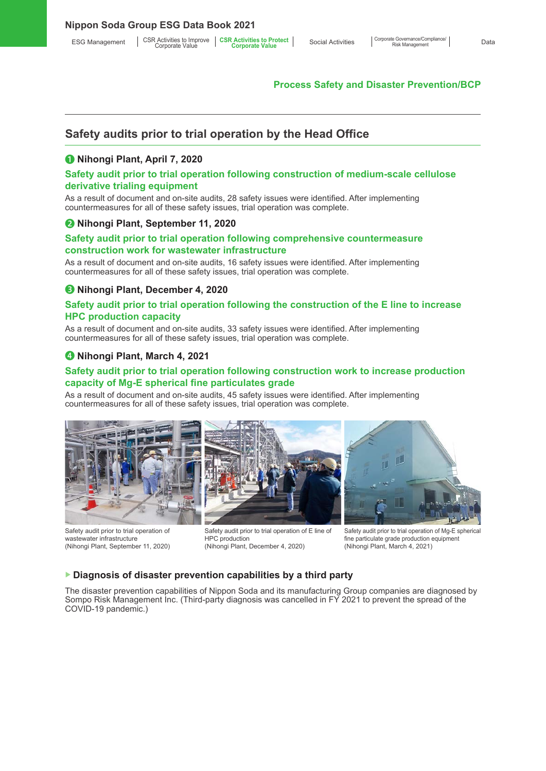#### **Safety audits prior to trial operation by the Head Office**

#### ❶ **Nihongi Plant, April 7, 2020**

#### **Safety audit prior to trial operation following construction of medium-scale cellulose derivative trialing equipment**

As a result of document and on-site audits, 28 safety issues were identified. After implementing countermeasures for all of these safety issues, trial operation was complete.

#### ❷ **Nihongi Plant, September 11, 2020**

#### **Safety audit prior to trial operation following comprehensive countermeasure construction work for wastewater infrastructure**

As a result of document and on-site audits, 16 safety issues were identified. After implementing countermeasures for all of these safety issues, trial operation was complete.

#### ❸ **Nihongi Plant, December 4, 2020**

#### **Safety audit prior to trial operation following the construction of the E line to increase HPC production capacity**

As a result of document and on-site audits, 33 safety issues were identified. After implementing countermeasures for all of these safety issues, trial operation was complete.

#### ❹ **Nihongi Plant, March 4, 2021**

#### **Safety audit prior to trial operation following construction work to increase production capacity of Mg-E spherical fine particulates grade**

As a result of document and on-site audits, 45 safety issues were identified. After implementing countermeasures for all of these safety issues, trial operation was complete.







Safety audit prior to trial operation of wastewater infrastructure (Nihongi Plant, September 11, 2020)

Safety audit prior to trial operation of E line of HPC production (Nihongi Plant, December 4, 2020)

Safety audit prior to trial operation of Mg-E spherical fine particulate grade production equipment (Nihongi Plant, March 4, 2021)

#### ▶ **Diagnosis of disaster prevention capabilities by a third party**

The disaster prevention capabilities of Nippon Soda and its manufacturing Group companies are diagnosed by Sompo Risk Management Inc. (Third-party diagnosis was cancelled in FY 2021 to prevent the spread of the COVID-19 pandemic.)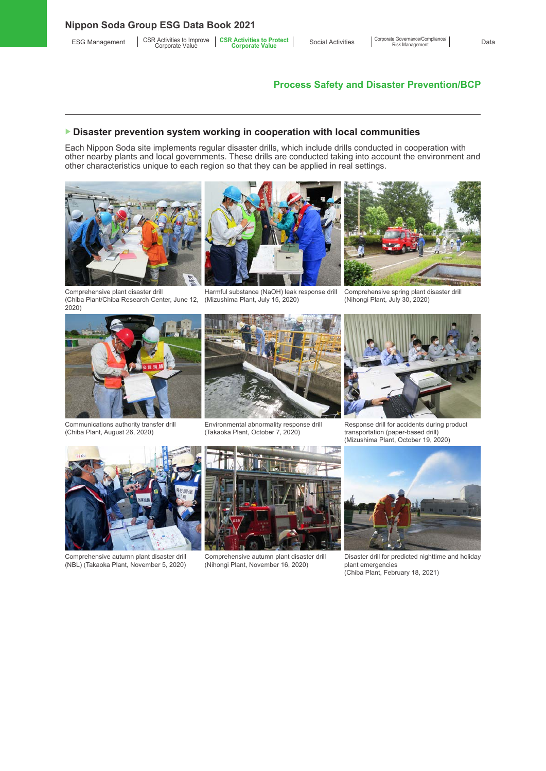#### ▶ **Disaster prevention system working in cooperation with local communities**

Each Nippon Soda site implements regular disaster drills, which include drills conducted in cooperation with other nearby plants and local governments. These drills are conducted taking into account the environment and other characteristics unique to each region so that they can be applied in real settings.



Comprehensive plant disaster drill (Chiba Plant/Chiba Research Center, June 12, 2020)

Harmful substance (NaOH) leak response drill (Mizushima Plant, July 15, 2020)



(Takaoka Plant, October 7, 2020)



Comprehensive spring plant disaster drill (Nihongi Plant, July 30, 2020)



Communications authority transfer drill (Chiba Plant, August 26, 2020)





Response drill for accidents during product transportation (paper-based drill) (Mizushima Plant, October 19, 2020)



Comprehensive autumn plant disaster drill (NBL) (Takaoka Plant, November 5, 2020)



Comprehensive autumn plant disaster drill (Nihongi Plant, November 16, 2020)



Disaster drill for predicted nighttime and holiday plant emergencies (Chiba Plant, February 18, 2021)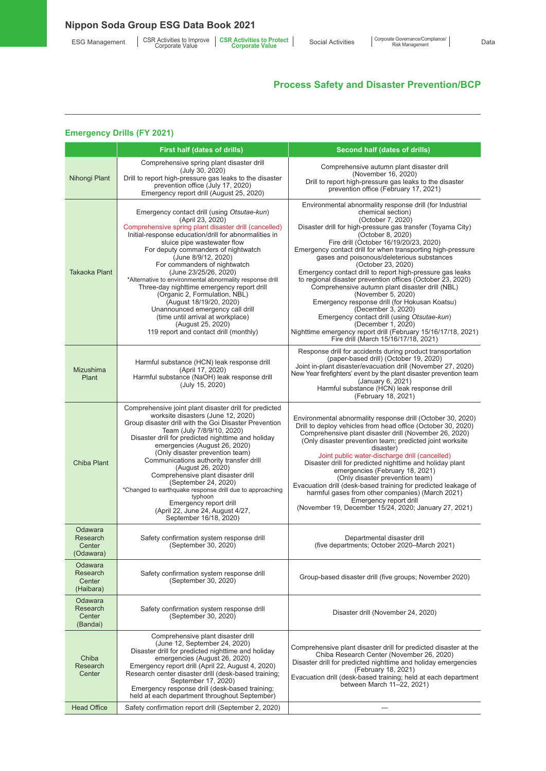#### **Emergency Drills (FY 2021)**

|                                            | First half (dates of drills)                                                                                                                                                                                                                                                                                                                                                                                                                                                                                                                                                                                                                          | Second half (dates of drills)                                                                                                                                                                                                                                                                                                                                                                                                                                                                                                                                                                                                                                                                                                                                                                                                |
|--------------------------------------------|-------------------------------------------------------------------------------------------------------------------------------------------------------------------------------------------------------------------------------------------------------------------------------------------------------------------------------------------------------------------------------------------------------------------------------------------------------------------------------------------------------------------------------------------------------------------------------------------------------------------------------------------------------|------------------------------------------------------------------------------------------------------------------------------------------------------------------------------------------------------------------------------------------------------------------------------------------------------------------------------------------------------------------------------------------------------------------------------------------------------------------------------------------------------------------------------------------------------------------------------------------------------------------------------------------------------------------------------------------------------------------------------------------------------------------------------------------------------------------------------|
| Nihongi Plant                              | Comprehensive spring plant disaster drill<br>(July 30, 2020)<br>Drill to report high-pressure gas leaks to the disaster<br>prevention office (July 17, 2020)<br>Emergency report drill (August 25, 2020)                                                                                                                                                                                                                                                                                                                                                                                                                                              | Comprehensive autumn plant disaster drill<br>(November 16, 2020)<br>Drill to report high-pressure gas leaks to the disaster<br>prevention office (February 17, 2021)                                                                                                                                                                                                                                                                                                                                                                                                                                                                                                                                                                                                                                                         |
| Takaoka Plant                              | Emergency contact drill (using Otsutae-kun)<br>(April 23, 2020)<br>Comprehensive spring plant disaster drill (cancelled)<br>Initial-response education/drill for abnormalities in<br>sluice pipe wastewater flow<br>For deputy commanders of nightwatch<br>(June 8/9/12, 2020)<br>For commanders of nightwatch<br>(June 23/25/26, 2020)<br>*Alternative to environmental abnormality response drill<br>Three-day nighttime emergency report drill<br>(Organic 2, Formulation, NBL)<br>(August 18/19/20, 2020)<br>Unannounced emergency call drill<br>(time until arrival at workplace)<br>(August 25, 2020)<br>119 report and contact drill (monthly) | Environmental abnormality response drill (for Industrial<br>chemical section)<br>(October 7, 2020)<br>Disaster drill for high-pressure gas transfer (Toyama City)<br>(October 8, 2020)<br>Fire drill (October 16/19/20/23, 2020)<br>Emergency contact drill for when transporting high-pressure<br>gases and poisonous/deleterious substances<br>(October 23, 2020)<br>Emergency contact drill to report high-pressure gas leaks<br>to regional disaster prevention offices (October 23, 2020)<br>Comprehensive autumn plant disaster drill (NBL)<br>(November 5, 2020)<br>Emergency response drill (for Hokusan Koatsu)<br>(December 3, 2020)<br>Emergency contact drill (using Otsutae-kun)<br>(December 1, 2020)<br>Nighttime emergency report drill (February 15/16/17/18, 2021)<br>Fire drill (March 15/16/17/18, 2021) |
| Mizushima<br>Plant                         | Harmful substance (HCN) leak response drill<br>(April 17, 2020)<br>Harmful substance (NaOH) leak response drill<br>(July 15, 2020)                                                                                                                                                                                                                                                                                                                                                                                                                                                                                                                    | Response drill for accidents during product transportation<br>(paper-based drill) (October 19, 2020)<br>Joint in-plant disaster/evacuation drill (November 27, 2020)<br>New Year firefighters' event by the plant disaster prevention team<br>(January 6, 2021)<br>Harmful substance (HCN) leak response drill<br>(February 18, 2021)                                                                                                                                                                                                                                                                                                                                                                                                                                                                                        |
| Chiba Plant                                | Comprehensive joint plant disaster drill for predicted<br>worksite disasters (June 12, 2020)<br>Group disaster drill with the Goi Disaster Prevention<br>Team (July 7/8/9/10, 2020)<br>Disaster drill for predicted nighttime and holiday<br>emergencies (August 26, 2020)<br>(Only disaster prevention team)<br>Communications authority transfer drill<br>(August 26, 2020)<br>Comprehensive plant disaster drill<br>(September 24, 2020)<br>*Changed to earthquake response drill due to approaching<br>typhoon<br>Emergency report drill<br>(April 22, June 24, August 4/27,<br>September 16/18, 2020)                                            | Environmental abnormality response drill (October 30, 2020)<br>Drill to deploy vehicles from head office (October 30, 2020)<br>Comprehensive plant disaster drill (November 26, 2020)<br>(Only disaster prevention team; predicted joint worksite<br>disaster)<br>Joint public water-discharge drill (cancelled)<br>Disaster drill for predicted nighttime and holiday plant<br>emergencies (February 18, 2021)<br>(Only disaster prevention team)<br>Evacuation drill (desk-based training for predicted leakage of<br>harmful gases from other companies) (March 2021)<br>Emergency report drill<br>(November 19, December 15/24, 2020; January 27, 2021)                                                                                                                                                                  |
| Odawara<br>Research<br>Center<br>(Odawara) | Safety confirmation system response drill<br>(September 30, 2020)                                                                                                                                                                                                                                                                                                                                                                                                                                                                                                                                                                                     | Departmental disaster drill<br>(five departments; October 2020–March 2021)                                                                                                                                                                                                                                                                                                                                                                                                                                                                                                                                                                                                                                                                                                                                                   |
| Odawara<br>Research<br>Center<br>(Haibara) | Safety confirmation system response drill<br>(September 30, 2020)                                                                                                                                                                                                                                                                                                                                                                                                                                                                                                                                                                                     | Group-based disaster drill (five groups; November 2020)                                                                                                                                                                                                                                                                                                                                                                                                                                                                                                                                                                                                                                                                                                                                                                      |
| Odawara<br>Research<br>Center<br>(Bandai)  | Safety confirmation system response drill<br>(September 30, 2020)                                                                                                                                                                                                                                                                                                                                                                                                                                                                                                                                                                                     | Disaster drill (November 24, 2020)                                                                                                                                                                                                                                                                                                                                                                                                                                                                                                                                                                                                                                                                                                                                                                                           |
| Chiba<br>Research<br>Center                | Comprehensive plant disaster drill<br>(June 12. September 24, 2020)<br>Disaster drill for predicted nighttime and holiday<br>emergencies (August 26, 2020)<br>Emergency report drill (April 22, August 4, 2020)<br>Research center disaster drill (desk-based training;<br>September 17, 2020)<br>Emergency response drill (desk-based training;<br>held at each department throughout September)                                                                                                                                                                                                                                                     | Comprehensive plant disaster drill for predicted disaster at the<br>Chiba Research Center (November 26, 2020)<br>Disaster drill for predicted nighttime and holiday emergencies<br>(February 18, 2021)<br>Evacuation drill (desk-based training; held at each department<br>between March 11-22, 2021)                                                                                                                                                                                                                                                                                                                                                                                                                                                                                                                       |
| <b>Head Office</b>                         | Safety confirmation report drill (September 2, 2020)                                                                                                                                                                                                                                                                                                                                                                                                                                                                                                                                                                                                  |                                                                                                                                                                                                                                                                                                                                                                                                                                                                                                                                                                                                                                                                                                                                                                                                                              |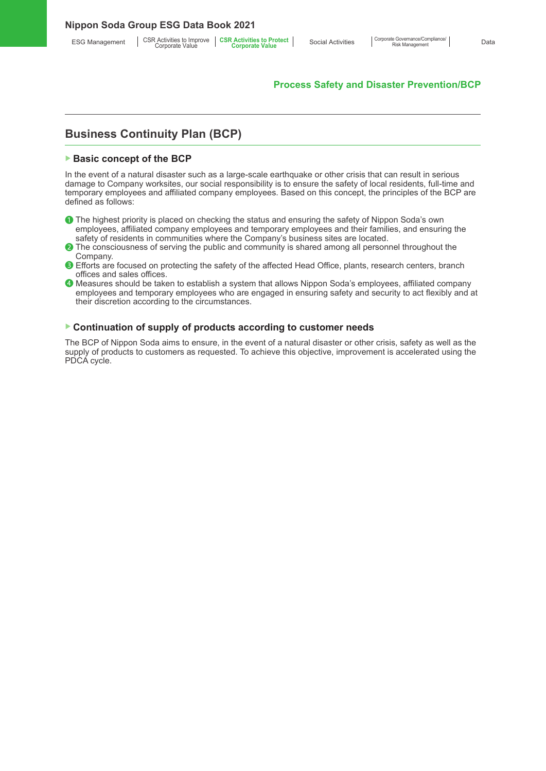**Nippon Soda Group ESG Data Book 2021**

**Process Safety and Disaster Prevention/BCP** 

# **Business Continuity Plan (BCP)**

#### ▶ **Basic concept of the BCP**

In the event of a natural disaster such as a large-scale earthquake or other crisis that can result in serious damage to Company worksites, our social responsibility is to ensure the safety of local residents, full-time and temporary employees and affiliated company employees. Based on this concept, the principles of the BCP are defined as follows:

- ❶ The highest priority is placed on checking the status and ensuring the safety of Nippon Soda's own employees, affiliated company employees and temporary employees and their families, and ensuring the safety of residents in communities where the Company's business sites are located.
- ❷ The consciousness of serving the public and community is shared among all personnel throughout the Company.
- ❸ Efforts are focused on protecting the safety of the affected Head Office, plants, research centers, branch offices and sales offices.
- ❹ Measures should be taken to establish a system that allows Nippon Soda's employees, affiliated company employees and temporary employees who are engaged in ensuring safety and security to act flexibly and at their discretion according to the circumstances.

#### ▶ **Continuation of supply of products according to customer needs**

The BCP of Nippon Soda aims to ensure, in the event of a natural disaster or other crisis, safety as well as the supply of products to customers as requested. To achieve this objective, improvement is accelerated using the PDCA cycle.